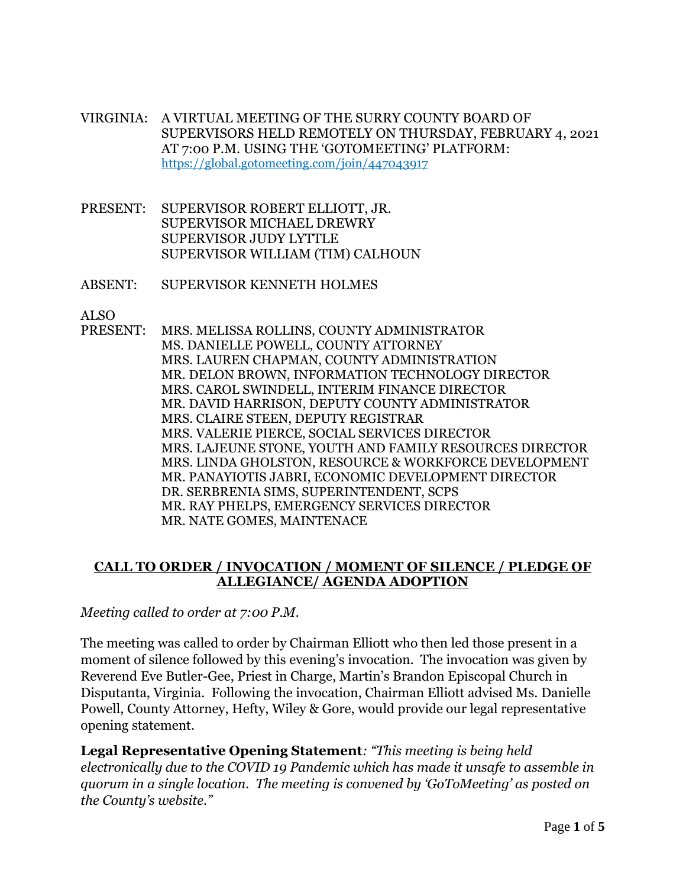VIRGINIA: A VIRTUAL MEETING OF THE SURRY COUNTY BOARD OF SUPERVISORS HELD REMOTELY ON THURSDAY, FEBRUARY 4, 2021 AT 7:00 P.M. USING THE 'GOTOMEETING' PLATFORM: https://global.gotomeeting.com/join/447043917

- PRESENT: SUPERVISOR ROBERT ELLIOTT, JR. SUPERVISOR MICHAEL DREWRY SUPERVISOR JUDY LYTTLE SUPERVISOR WILLIAM (TIM) CALHOUN
- ABSENT: SUPERVISOR KENNETH HOLMES

ALSO

PRESENT: MRS. MELISSA ROLLINS, COUNTY ADMINISTRATOR MS. DANIELLE POWELL, COUNTY ATTORNEY MRS. LAUREN CHAPMAN, COUNTY ADMINISTRATION MR. DELON BROWN, INFORMATION TECHNOLOGY DIRECTOR MRS. CAROL SWINDELL, INTERIM FINANCE DIRECTOR MR. DAVID HARRISON, DEPUTY COUNTY ADMINISTRATOR MRS. CLAIRE STEEN, DEPUTY REGISTRAR MRS. VALERIE PIERCE, SOCIAL SERVICES DIRECTOR MRS. LAJEUNE STONE, YOUTH AND FAMILY RESOURCES DIRECTOR MRS. LINDA GHOLSTON, RESOURCE & WORKFORCE DEVELOPMENT MR. PANAYIOTIS JABRI, ECONOMIC DEVELOPMENT DIRECTOR DR. SERBRENIA SIMS, SUPERINTENDENT, SCPS MR. RAY PHELPS, EMERGENCY SERVICES DIRECTOR MR. NATE GOMES, MAINTENACE

# **CALL TO ORDER / INVOCATION / MOMENT OF SILENCE / PLEDGE OF ALLEGIANCE/ AGENDA ADOPTION**

*Meeting called to order at 7:00 P.M.*

The meeting was called to order by Chairman Elliott who then led those present in a moment of silence followed by this evening's invocation. The invocation was given by Reverend Eve Butler-Gee, Priest in Charge, Martin's Brandon Episcopal Church in Disputanta, Virginia. Following the invocation, Chairman Elliott advised Ms. Danielle Powell, County Attorney, Hefty, Wiley & Gore, would provide our legal representative opening statement.

**Legal Representative Opening Statement***: "This meeting is being held electronically due to the COVID 19 Pandemic which has made it unsafe to assemble in quorum in a single location. The meeting is convened by 'GoToMeeting' as posted on the County's website."*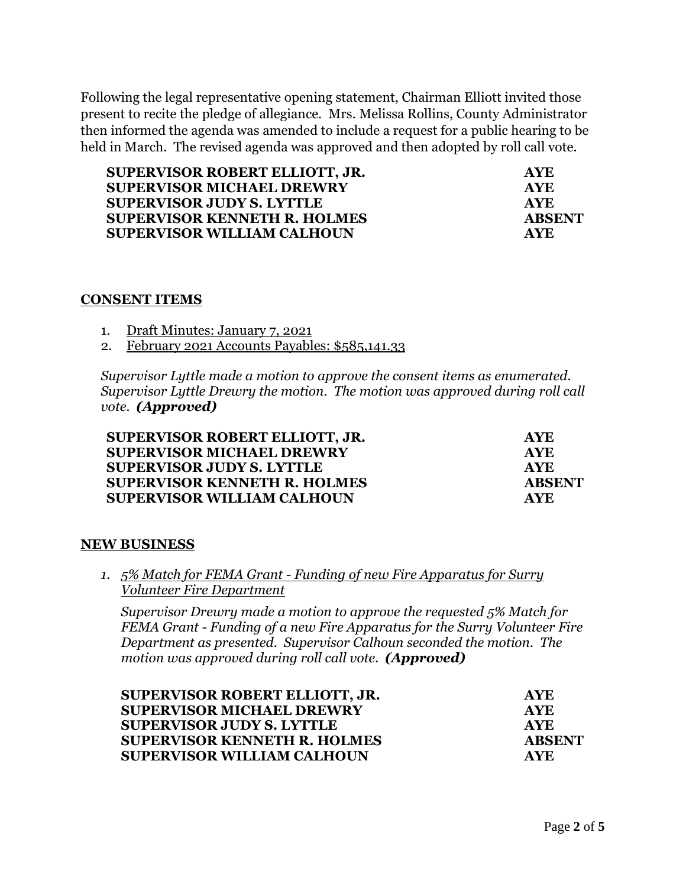Following the legal representative opening statement, Chairman Elliott invited those present to recite the pledge of allegiance. Mrs. Melissa Rollins, County Administrator then informed the agenda was amended to include a request for a public hearing to be held in March. The revised agenda was approved and then adopted by roll call vote.

| SUPERVISOR ROBERT ELLIOTT, JR.      | <b>AYE</b>    |
|-------------------------------------|---------------|
| <b>SUPERVISOR MICHAEL DREWRY</b>    | <b>AYE</b>    |
| <b>SUPERVISOR JUDY S. LYTTLE</b>    | <b>AYE</b>    |
| <b>SUPERVISOR KENNETH R. HOLMES</b> | <b>ABSENT</b> |
| <b>SUPERVISOR WILLIAM CALHOUN</b>   | AYE.          |

## **CONSENT ITEMS**

1. Draft Minutes: January 7, 2021

2. February 2021 Accounts Payables: \$585,141.33

*Supervisor Lyttle made a motion to approve the consent items as enumerated. Supervisor Lyttle Drewry the motion. The motion was approved during roll call vote. (Approved)* 

| SUPERVISOR ROBERT ELLIOTT, JR.      | <b>AYE</b> |
|-------------------------------------|------------|
| <b>SUPERVISOR MICHAEL DREWRY</b>    | <b>AYE</b> |
| <b>SUPERVISOR JUDY S. LYTTLE</b>    | <b>AYE</b> |
| <b>SUPERVISOR KENNETH R. HOLMES</b> | ABSENT     |
| <b>SUPERVISOR WILLIAM CALHOUN</b>   | AYE.       |

# **NEW BUSINESS**

*1. 5% Match for FEMA Grant - Funding of new Fire Apparatus for Surry Volunteer Fire Department* 

*Supervisor Drewry made a motion to approve the requested 5% Match for FEMA Grant - Funding of a new Fire Apparatus for the Surry Volunteer Fire Department as presented. Supervisor Calhoun seconded the motion. The motion was approved during roll call vote. (Approved)* 

| SUPERVISOR ROBERT ELLIOTT, JR.      | <b>AYE</b>    |
|-------------------------------------|---------------|
| <b>SUPERVISOR MICHAEL DREWRY</b>    | <b>AYE</b>    |
| <b>SUPERVISOR JUDY S. LYTTLE</b>    | <b>AYE</b>    |
| <b>SUPERVISOR KENNETH R. HOLMES</b> | <b>ABSENT</b> |
| <b>SUPERVISOR WILLIAM CALHOUN</b>   | AVE.          |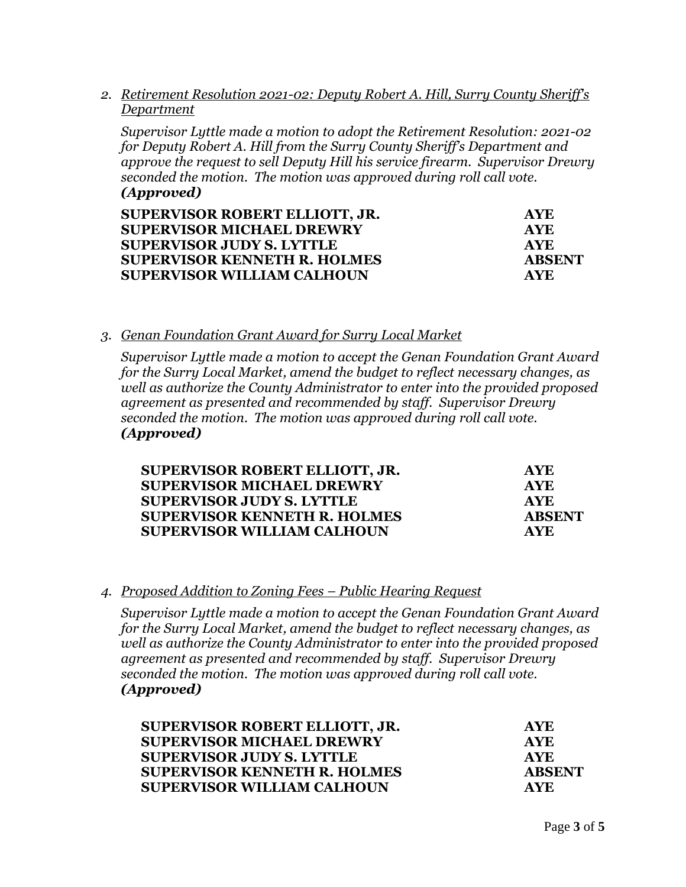*2. Retirement Resolution 2021-02: Deputy Robert A. Hill, Surry County Sheriff's Department* 

*Supervisor Lyttle made a motion to adopt the Retirement Resolution: 2021-02 for Deputy Robert A. Hill from the Surry County Sheriff's Department and approve the request to sell Deputy Hill his service firearm. Supervisor Drewry seconded the motion. The motion was approved during roll call vote. (Approved)* 

| SUPERVISOR ROBERT ELLIOTT, JR.<br><b>SUPERVISOR MICHAEL DREWRY</b> | <b>AYE</b><br><b>AYE</b> |
|--------------------------------------------------------------------|--------------------------|
|                                                                    |                          |
| <b>SUPERVISOR KENNETH R. HOLMES</b>                                | <b>ABSENT</b>            |
| <b>SUPERVISOR WILLIAM CALHOUN</b>                                  | <b>AYE</b>               |

## *3. Genan Foundation Grant Award for Surry Local Market*

*Supervisor Lyttle made a motion to accept the Genan Foundation Grant Award for the Surry Local Market, amend the budget to reflect necessary changes, as well as authorize the County Administrator to enter into the provided proposed agreement as presented and recommended by staff. Supervisor Drewry seconded the motion. The motion was approved during roll call vote. (Approved)* 

| SUPERVISOR ROBERT ELLIOTT, JR.      | <b>AYE</b>    |
|-------------------------------------|---------------|
| <b>SUPERVISOR MICHAEL DREWRY</b>    | <b>AYE</b>    |
| <b>SUPERVISOR JUDY S. LYTTLE</b>    | <b>AYE</b>    |
| <b>SUPERVISOR KENNETH R. HOLMES</b> | <b>ABSENT</b> |
| <b>SUPERVISOR WILLIAM CALHOUN</b>   | <b>AVE</b>    |

### *4. Proposed Addition to Zoning Fees – Public Hearing Request*

*Supervisor Lyttle made a motion to accept the Genan Foundation Grant Award for the Surry Local Market, amend the budget to reflect necessary changes, as well as authorize the County Administrator to enter into the provided proposed agreement as presented and recommended by staff. Supervisor Drewry seconded the motion. The motion was approved during roll call vote. (Approved)* 

| SUPERVISOR ROBERT ELLIOTT, JR.      | AYE.          |
|-------------------------------------|---------------|
| <b>SUPERVISOR MICHAEL DREWRY</b>    | <b>AYE</b>    |
| <b>SUPERVISOR JUDY S. LYTTLE</b>    | AYE.          |
| <b>SUPERVISOR KENNETH R. HOLMES</b> | <b>ABSENT</b> |
| <b>SUPERVISOR WILLIAM CALHOUN</b>   | <b>AYE</b>    |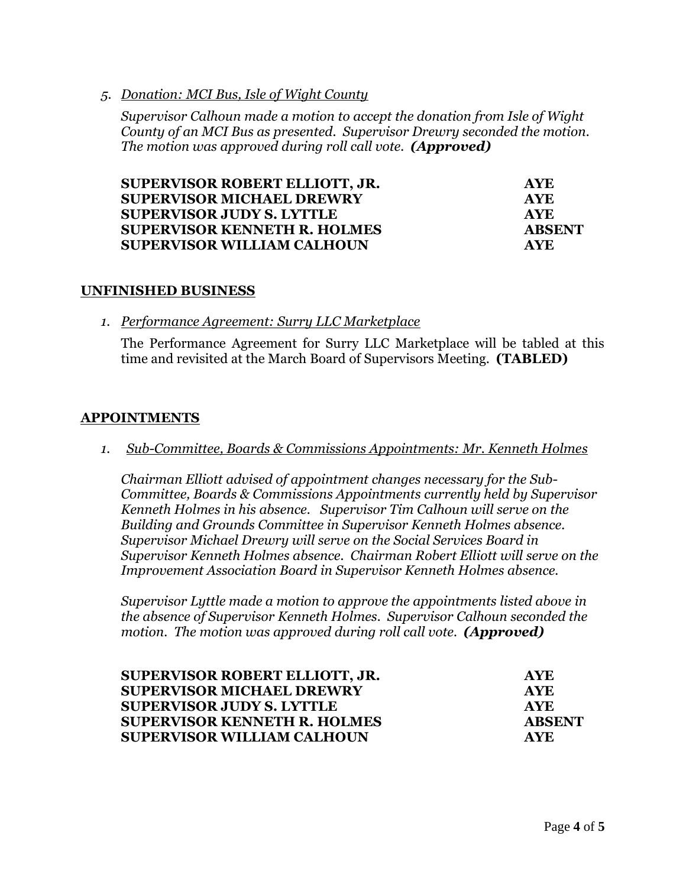*5. Donation: MCI Bus, Isle of Wight County*

*Supervisor Calhoun made a motion to accept the donation from Isle of Wight County of an MCI Bus as presented. Supervisor Drewry seconded the motion. The motion was approved during roll call vote. (Approved)* 

| SUPERVISOR ROBERT ELLIOTT, JR.      | <b>AYE</b>    |
|-------------------------------------|---------------|
| <b>SUPERVISOR MICHAEL DREWRY</b>    | <b>AYE</b>    |
| <b>SUPERVISOR JUDY S. LYTTLE</b>    | <b>AYE</b>    |
| <b>SUPERVISOR KENNETH R. HOLMES</b> | <b>ABSENT</b> |
| <b>SUPERVISOR WILLIAM CALHOUN</b>   | AYE.          |

## **UNFINISHED BUSINESS**

*1. Performance Agreement: Surry LLC Marketplace*

The Performance Agreement for Surry LLC Marketplace will be tabled at this time and revisited at the March Board of Supervisors Meeting. **(TABLED)**

# **APPOINTMENTS**

*1. Sub-Committee, Boards & Commissions Appointments: Mr. Kenneth Holmes*

*Chairman Elliott advised of appointment changes necessary for the Sub-Committee, Boards & Commissions Appointments currently held by Supervisor Kenneth Holmes in his absence. Supervisor Tim Calhoun will serve on the Building and Grounds Committee in Supervisor Kenneth Holmes absence. Supervisor Michael Drewry will serve on the Social Services Board in Supervisor Kenneth Holmes absence. Chairman Robert Elliott will serve on the Improvement Association Board in Supervisor Kenneth Holmes absence.* 

*Supervisor Lyttle made a motion to approve the appointments listed above in the absence of Supervisor Kenneth Holmes. Supervisor Calhoun seconded the motion. The motion was approved during roll call vote. (Approved)* 

| SUPERVISOR ROBERT ELLIOTT, JR.<br><b>SUPERVISOR MICHAEL DREWRY</b><br><b>SUPERVISOR JUDY S. LYTTLE</b><br><b>SUPERVISOR KENNETH R. HOLMES</b> | <b>AYE</b><br><b>AYE</b><br><b>AYE</b><br>ABSENT |                                   |            |
|-----------------------------------------------------------------------------------------------------------------------------------------------|--------------------------------------------------|-----------------------------------|------------|
|                                                                                                                                               |                                                  | <b>SUPERVISOR WILLIAM CALHOUN</b> | <b>AVE</b> |